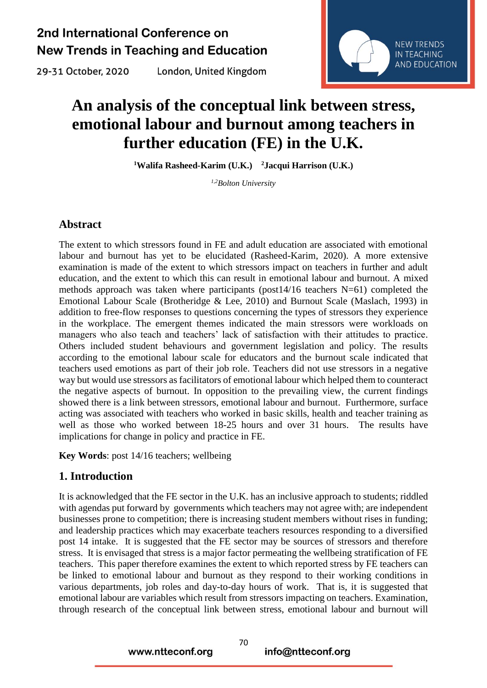29-31 October, 2020

London, United Kingdom



# **An analysis of the conceptual link between stress, emotional labour and burnout among teachers in further education (FE) in the U.K.**

**<sup>1</sup>Walifa Rasheed-Karim (U.K.) <sup>2</sup>Jacqui Harrison (U.K.)**

*1,2Bolton University* 

#### **Abstract**

The extent to which stressors found in FE and adult education are associated with emotional labour and burnout has yet to be elucidated (Rasheed-Karim, 2020). A more extensive examination is made of the extent to which stressors impact on teachers in further and adult education, and the extent to which this can result in emotional labour and burnout. A mixed methods approach was taken where participants (post14/16 teachers N=61) completed the Emotional Labour Scale (Brotheridge & Lee, 2010) and Burnout Scale (Maslach, 1993) in addition to free-flow responses to questions concerning the types of stressors they experience in the workplace. The emergent themes indicated the main stressors were workloads on managers who also teach and teachers' lack of satisfaction with their attitudes to practice. Others included student behaviours and government legislation and policy. The results according to the emotional labour scale for educators and the burnout scale indicated that teachers used emotions as part of their job role. Teachers did not use stressors in a negative way but would use stressors as facilitators of emotional labour which helped them to counteract the negative aspects of burnout. In opposition to the prevailing view, the current findings showed there is a link between stressors, emotional labour and burnout. Furthermore, surface acting was associated with teachers who worked in basic skills, health and teacher training as well as those who worked between 18-25 hours and over 31 hours. The results have implications for change in policy and practice in FE.

**Key Words**: post 14/16 teachers; wellbeing

#### **1. Introduction**

It is acknowledged that the FE sector in the U.K. has an inclusive approach to students; riddled with agendas put forward by governments which teachers may not agree with; are independent businesses prone to competition; there is increasing student members without rises in funding; and leadership practices which may exacerbate teachers resources responding to a diversified post 14 intake. It is suggested that the FE sector may be sources of stressors and therefore stress. It is envisaged that stress is a major factor permeating the wellbeing stratification of FE teachers. This paper therefore examines the extent to which reported stress by FE teachers can be linked to emotional labour and burnout as they respond to their working conditions in various departments, job roles and day-to-day hours of work. That is, it is suggested that emotional labour are variables which result from stressors impacting on teachers. Examination, through research of the conceptual link between stress, emotional labour and burnout will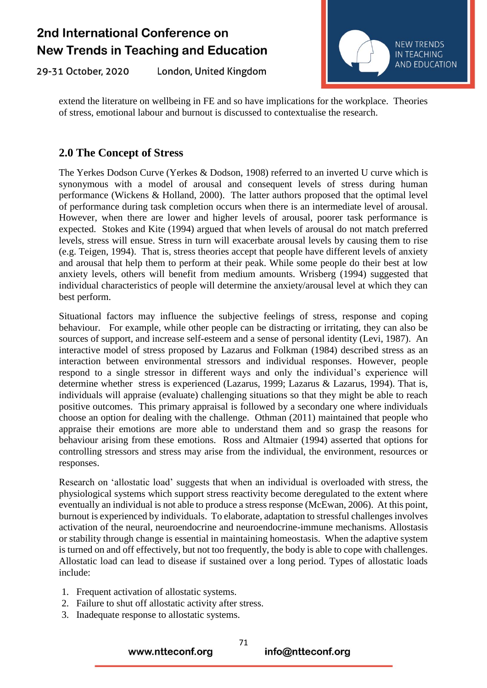29-31 October, 2020 London, United Kingdom



extend the literature on wellbeing in FE and so have implications for the workplace. Theories of stress, emotional labour and burnout is discussed to contextualise the research.

#### **2.0 The Concept of Stress**

The Yerkes Dodson Curve (Yerkes & Dodson, 1908) referred to an inverted U curve which is synonymous with a model of arousal and consequent levels of stress during human performance (Wickens & Holland, 2000). The latter authors proposed that the optimal level of performance during task completion occurs when there is an intermediate level of arousal. However, when there are lower and higher levels of arousal, poorer task performance is expected. Stokes and Kite (1994) argued that when levels of arousal do not match preferred levels, stress will ensue. Stress in turn will exacerbate arousal levels by causing them to rise (e.g. Teigen, 1994). That is, stress theories accept that people have different levels of anxiety and arousal that help them to perform at their peak. While some people do their best at low anxiety levels, others will benefit from medium amounts. Wrisberg (1994) suggested that individual characteristics of people will determine the anxiety/arousal level at which they can best perform.

Situational factors may influence the subjective feelings of stress, response and coping behaviour. For example, while other people can be distracting or irritating, they can also be sources of support, and increase self-esteem and a sense of personal identity (Levi, 1987). An interactive model of stress proposed by Lazarus and Folkman (1984) described stress as an interaction between environmental stressors and individual responses. However, people respond to a single stressor in different ways and only the individual's experience will determine whether stress is experienced (Lazarus, 1999; Lazarus & Lazarus, 1994). That is, individuals will appraise (evaluate) challenging situations so that they might be able to reach positive outcomes. This primary appraisal is followed by a secondary one where individuals choose an option for dealing with the challenge. Othman (2011) maintained that people who appraise their emotions are more able to understand them and so grasp the reasons for behaviour arising from these emotions. Ross and Altmaier (1994) asserted that options for controlling stressors and stress may arise from the individual, the environment, resources or responses.

Research on 'allostatic load' suggests that when an individual is overloaded with stress, the physiological systems which support stress reactivity become deregulated to the extent where eventually an individual is not able to produce a stress response (McEwan, 2006). At this point, burnout is experienced by individuals. To elaborate, adaptation to stressful challenges involves activation of the neural, neuroendocrine and neuroendocrine-immune mechanisms. Allostasis or stability through change is essential in maintaining homeostasis. When the adaptive system is turned on and off effectively, but not too frequently, the body is able to cope with challenges. Allostatic load can lead to disease if sustained over a long period. Types of allostatic loads include:

- 1. Frequent activation of allostatic systems.
- 2. Failure to shut off allostatic activity after stress.

www.ntteconf.org

3. Inadequate response to allostatic systems.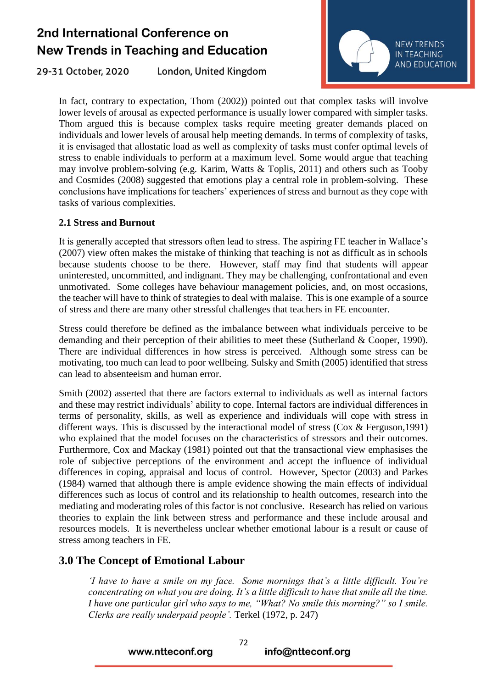London, United Kingdom 29-31 October, 2020



In fact, contrary to expectation, Thom (2002)) pointed out that complex tasks will involve lower levels of arousal as expected performance is usually lower compared with simpler tasks. Thom argued this is because complex tasks require meeting greater demands placed on individuals and lower levels of arousal help meeting demands. In terms of complexity of tasks, it is envisaged that allostatic load as well as complexity of tasks must confer optimal levels of stress to enable individuals to perform at a maximum level. Some would argue that teaching may involve problem-solving (e.g. Karim, Watts & Toplis, 2011) and others such as Tooby and Cosmides (2008) suggested that emotions play a central role in problem-solving. These conclusions have implications for teachers' experiences of stress and burnout as they cope with tasks of various complexities.

#### **2.1 Stress and Burnout**

It is generally accepted that stressors often lead to stress. The aspiring FE teacher in Wallace's (2007) view often makes the mistake of thinking that teaching is not as difficult as in schools because students choose to be there. However, staff may find that students will appear uninterested, uncommitted, and indignant. They may be challenging, confrontational and even unmotivated. Some colleges have behaviour management policies, and, on most occasions, the teacher will have to think of strategies to deal with malaise. This is one example of a source of stress and there are many other stressful challenges that teachers in FE encounter.

Stress could therefore be defined as the imbalance between what individuals perceive to be demanding and their perception of their abilities to meet these (Sutherland & Cooper, 1990). There are individual differences in how stress is perceived. Although some stress can be motivating, too much can lead to poor wellbeing. Sulsky and Smith (2005) identified that stress can lead to absenteeism and human error.

Smith (2002) asserted that there are factors external to individuals as well as internal factors and these may restrict individuals' ability to cope. Internal factors are individual differences in terms of personality, skills, as well as experience and individuals will cope with stress in different ways. This is discussed by the interactional model of stress (Cox & Ferguson,1991) who explained that the model focuses on the characteristics of stressors and their outcomes. Furthermore, Cox and Mackay (1981) pointed out that the transactional view emphasises the role of subjective perceptions of the environment and accept the influence of individual differences in coping, appraisal and locus of control. However, Spector (2003) and Parkes (1984) warned that although there is ample evidence showing the main effects of individual differences such as locus of control and its relationship to health outcomes, research into the mediating and moderating roles of this factor is not conclusive. Research has relied on various theories to explain the link between stress and performance and these include arousal and resources models. It is nevertheless unclear whether emotional labour is a result or cause of stress among teachers in FE.

#### **3.0 The Concept of Emotional Labour**

*'I have to have a smile on my face. Some mornings that's a little difficult. You're concentrating on what you are doing. It's a little difficult to have that smile all the time. I have one particular girl who says to me, "What? No smile this morning?" so I smile. Clerks are really underpaid people'.* Terkel (1972, p. 247)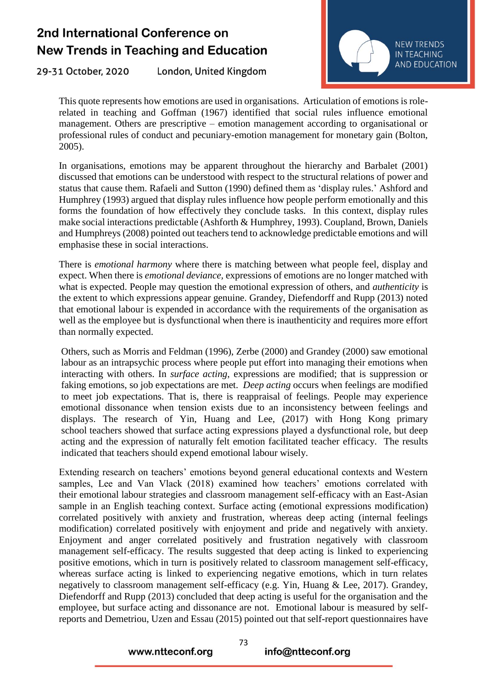29-31 October, 2020 London, United Kingdom



This quote represents how emotions are used in organisations. Articulation of emotions is rolerelated in teaching and Goffman (1967) identified that social rules influence emotional management. Others are prescriptive – emotion management according to organisational or professional rules of conduct and pecuniary-emotion management for monetary gain (Bolton, 2005).

In organisations, emotions may be apparent throughout the hierarchy and Barbalet (2001) discussed that emotions can be understood with respect to the structural relations of power and status that cause them. Rafaeli and Sutton (1990) defined them as 'display rules.' Ashford and Humphrey (1993) argued that display rules influence how people perform emotionally and this forms the foundation of how effectively they conclude tasks. In this context, display rules make social interactions predictable (Ashforth & Humphrey, 1993). Coupland, Brown, Daniels and Humphreys (2008) pointed out teachers tend to acknowledge predictable emotions and will emphasise these in social interactions.

There is *emotional harmony* where there is matching between what people feel, display and expect. When there is *emotional deviance,* expressions of emotions are no longer matched with what is expected. People may question the emotional expression of others, and *authenticity* is the extent to which expressions appear genuine. Grandey, Diefendorff and Rupp (2013) noted that emotional labour is expended in accordance with the requirements of the organisation as well as the employee but is dysfunctional when there is inauthenticity and requires more effort than normally expected.

Others, such as Morris and Feldman (1996), Zerbe (2000) and Grandey (2000) saw emotional labour as an intrapsychic process where people put effort into managing their emotions when interacting with others. In *surface acting*, expressions are modified; that is suppression or faking emotions, so job expectations are met. *Deep acting* occurs when feelings are modified to meet job expectations. That is, there is reappraisal of feelings. People may experience emotional dissonance when tension exists due to an inconsistency between feelings and displays. The research of Yin, Huang and Lee, (2017) with Hong Kong primary school teachers showed that surface acting expressions played a dysfunctional role, but deep acting and the expression of naturally felt emotion facilitated teacher efficacy. The results indicated that teachers should expend emotional labour wisely.

Extending research on teachers' emotions beyond general educational contexts and Western samples, Lee and Van Vlack (2018) examined how teachers' emotions correlated with their emotional labour strategies and classroom management self-efficacy with an East-Asian sample in an English teaching context. Surface acting (emotional expressions modification) correlated positively with anxiety and frustration, whereas deep acting (internal feelings modification) correlated positively with enjoyment and pride and negatively with anxiety. Enjoyment and anger correlated positively and frustration negatively with classroom management self-efficacy. The results suggested that deep acting is linked to experiencing positive emotions, which in turn is positively related to classroom management self-efficacy, whereas surface acting is linked to experiencing negative emotions, which in turn relates negatively to classroom management self-efficacy (e.g. Yin, Huang & Lee, 2017). Grandey, Diefendorff and Rupp (2013) concluded that deep acting is useful for the organisation and the employee, but surface acting and dissonance are not. Emotional labour is measured by selfreports and Demetriou, Uzen and Essau (2015) pointed out that self-report questionnaires have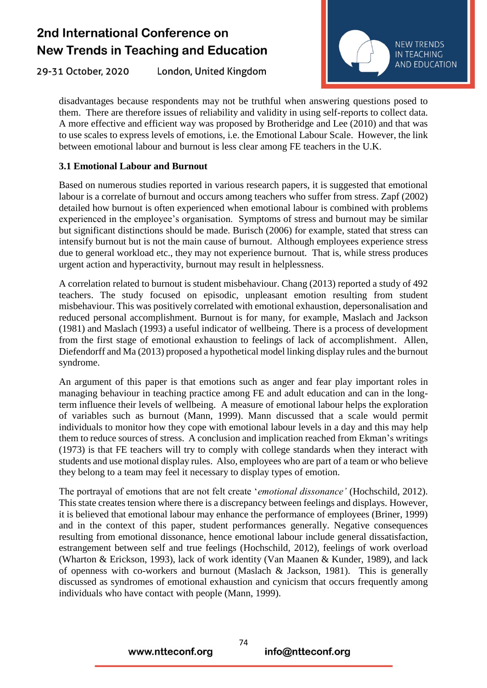29-31 October, 2020 London, United Kingdom



disadvantages because respondents may not be truthful when answering questions posed to them. There are therefore issues of reliability and validity in using self-reports to collect data. A more effective and efficient way was proposed by Brotheridge and Lee (2010) and that was to use scales to express levels of emotions, i.e. the Emotional Labour Scale. However, the link between emotional labour and burnout is less clear among FE teachers in the U.K.

#### **3.1 Emotional Labour and Burnout**

Based on numerous studies reported in various research papers, it is suggested that emotional labour is a correlate of burnout and occurs among teachers who suffer from stress. Zapf (2002) detailed how burnout is often experienced when emotional labour is combined with problems experienced in the employee's organisation. Symptoms of stress and burnout may be similar but significant distinctions should be made. Burisch (2006) for example, stated that stress can intensify burnout but is not the main cause of burnout. Although employees experience stress due to general workload etc., they may not experience burnout. That is, while stress produces urgent action and hyperactivity, burnout may result in helplessness.

A correlation related to burnout is student misbehaviour. Chang (2013) reported a study of 492 teachers. The study focused on episodic, unpleasant emotion resulting from student misbehaviour. This was positively correlated with emotional exhaustion, depersonalisation and reduced personal accomplishment. Burnout is for many, for example, Maslach and Jackson (1981) and Maslach (1993) a useful indicator of wellbeing. There is a process of development from the first stage of emotional exhaustion to feelings of lack of accomplishment. Allen, Diefendorff and Ma (2013) proposed a hypothetical model linking display rules and the burnout syndrome.

An argument of this paper is that emotions such as anger and fear play important roles in managing behaviour in teaching practice among FE and adult education and can in the longterm influence their levels of wellbeing. A measure of emotional labour helps the exploration of variables such as burnout (Mann, 1999). Mann discussed that a scale would permit individuals to monitor how they cope with emotional labour levels in a day and this may help them to reduce sources of stress. A conclusion and implication reached from Ekman's writings (1973) is that FE teachers will try to comply with college standards when they interact with students and use motional display rules. Also, employees who are part of a team or who believe they belong to a team may feel it necessary to display types of emotion.

The portrayal of emotions that are not felt create '*emotional dissonance'* (Hochschild, 2012). This state creates tension where there is a discrepancy between feelings and displays. However, it is believed that emotional labour may enhance the performance of employees (Briner, 1999) and in the context of this paper, student performances generally. Negative consequences resulting from emotional dissonance, hence emotional labour include general dissatisfaction, estrangement between self and true feelings (Hochschild, 2012), feelings of work overload (Wharton & Erickson, 1993), lack of work identity (Van Maanen & Kunder, 1989), and lack of openness with co-workers and burnout (Maslach & Jackson, 1981). This is generally discussed as syndromes of emotional exhaustion and cynicism that occurs frequently among individuals who have contact with people (Mann, 1999).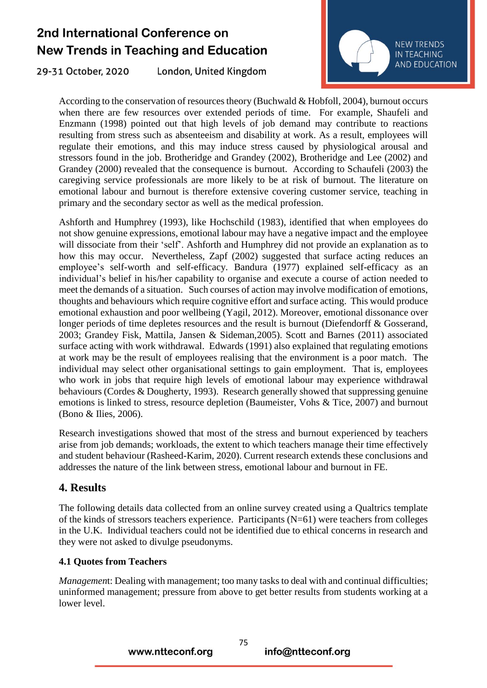29-31 October, 2020 London, United Kingdom



According to the conservation of resources theory (Buchwald & Hobfoll, 2004), burnout occurs when there are few resources over extended periods of time. For example, Shaufeli and Enzmann (1998) pointed out that high levels of job demand may contribute to reactions resulting from stress such as absenteeism and disability at work. As a result, employees will regulate their emotions, and this may induce stress caused by physiological arousal and stressors found in the job. Brotheridge and Grandey (2002), Brotheridge and Lee (2002) and Grandey (2000) revealed that the consequence is burnout. According to Schaufeli (2003) the caregiving service professionals are more likely to be at risk of burnout. The literature on emotional labour and burnout is therefore extensive covering customer service, teaching in primary and the secondary sector as well as the medical profession.

Ashforth and Humphrey (1993), like Hochschild (1983), identified that when employees do not show genuine expressions, emotional labour may have a negative impact and the employee will dissociate from their 'self'. Ashforth and Humphrey did not provide an explanation as to how this may occur. Nevertheless, Zapf (2002) suggested that surface acting reduces an employee's self-worth and self-efficacy. Bandura (1977) explained self-efficacy as an individual's belief in his/her capability to organise and execute a course of action needed to meet the demands of a situation. Such courses of action may involve modification of emotions, thoughts and behaviours which require cognitive effort and surface acting. This would produce emotional exhaustion and poor wellbeing (Yagil, 2012). Moreover, emotional dissonance over longer periods of time depletes resources and the result is burnout (Diefendorff & Gosserand, 2003; Grandey Fisk, Mattila, Jansen & Sideman,2005). Scott and Barnes (2011) associated surface acting with work withdrawal. Edwards (1991) also explained that regulating emotions at work may be the result of employees realising that the environment is a poor match. The individual may select other organisational settings to gain employment. That is, employees who work in jobs that require high levels of emotional labour may experience withdrawal behaviours (Cordes & Dougherty, 1993). Research generally showed that suppressing genuine emotions is linked to stress, resource depletion (Baumeister, Vohs & Tice, 2007) and burnout (Bono & Ilies, 2006).

Research investigations showed that most of the stress and burnout experienced by teachers arise from job demands; workloads, the extent to which teachers manage their time effectively and student behaviour (Rasheed-Karim, 2020). Current research extends these conclusions and addresses the nature of the link between stress, emotional labour and burnout in FE.

#### **4. Results**

The following details data collected from an online survey created using a Qualtrics template of the kinds of stressors teachers experience. Participants (N=61) were teachers from colleges in the U.K. Individual teachers could not be identified due to ethical concerns in research and they were not asked to divulge pseudonyms.

#### **4.1 Quotes from Teachers**

*Managemen*t: Dealing with management; too many tasks to deal with and continual difficulties; uninformed management; pressure from above to get better results from students working at a lower level.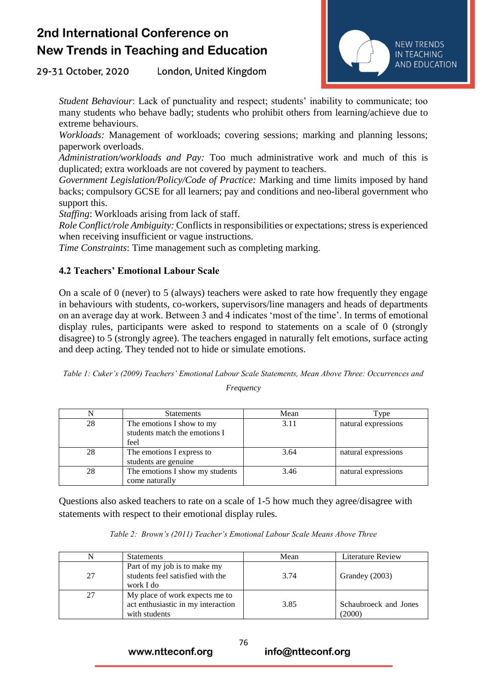29-31 October, 2020 London, United Kingdom



*Student Behaviour*: Lack of punctuality and respect; students' inability to communicate; too many students who behave badly; students who prohibit others from learning/achieve due to extreme behaviours.

*Workloads:* Management of workloads; covering sessions; marking and planning lessons; paperwork overloads.

*Administration/workloads and Pay:* Too much administrative work and much of this is duplicated; extra workloads are not covered by payment to teachers.

*Government Legislation/Policy/Code of Practice:* Marking and time limits imposed by hand backs; compulsory GCSE for all learners; pay and conditions and neo-liberal government who support this.

*Staffing*: Workloads arising from lack of staff.

*Role Conflict/role Ambiguity:* Conflicts in responsibilities or expectations; stress is experienced when receiving insufficient or vague instructions.

*Time Constraints*: Time management such as completing marking.

#### **4.2 Teachers' Emotional Labour Scale**

On a scale of 0 (never) to 5 (always) teachers were asked to rate how frequently they engage in behaviours with students, co-workers, supervisors/line managers and heads of departments on an average day at work. Between 3 and 4 indicates 'most of the time'. In terms of emotional display rules, participants were asked to respond to statements on a scale of 0 (strongly disagree) to 5 (strongly agree). The teachers engaged in naturally felt emotions, surface acting and deep acting. They tended not to hide or simulate emotions.

|           |  | Table 1: Cuker's (2009) Teachers' Emotional Labour Scale Statements, Mean Above Three: Occurrences and |  |
|-----------|--|--------------------------------------------------------------------------------------------------------|--|
| Frequency |  |                                                                                                        |  |

|    | <b>Statements</b>                                                  | Mean | Type <sub>1</sub>   |
|----|--------------------------------------------------------------------|------|---------------------|
| 28 | The emotions I show to my<br>students match the emotions I<br>feel | 3.11 | natural expressions |
| 28 | The emotions I express to<br>students are genuine                  | 3.64 | natural expressions |
| 28 | The emotions I show my students<br>come naturally                  | 3.46 | natural expressions |

Questions also asked teachers to rate on a scale of 1-5 how much they agree/disagree with statements with respect to their emotional display rules.

|    | <b>Statements</b>                                                                     | Mean | <b>Literature Review</b>        |
|----|---------------------------------------------------------------------------------------|------|---------------------------------|
| 27 | Part of my job is to make my<br>students feel satisfied with the<br>work I do         | 3.74 | Grandey (2003)                  |
| 27 | My place of work expects me to<br>act enthusiastic in my interaction<br>with students | 3.85 | Schaubroeck and Jones<br>(2000) |

76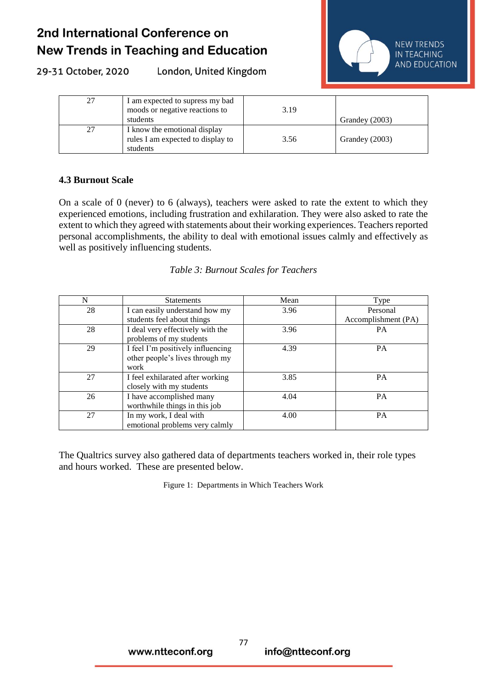29-31 October, 2020

London, United Kingdom



| 27 | I am expected to supress my bad<br>moods or negative reactions to<br>students | 3.19 | Grandey (2003) |
|----|-------------------------------------------------------------------------------|------|----------------|
| 27 | I know the emotional display<br>rules I am expected to display to<br>students | 3.56 | Grandey (2003) |

#### **4.3 Burnout Scale**

On a scale of 0 (never) to 6 (always), teachers were asked to rate the extent to which they experienced emotions, including frustration and exhilaration. They were also asked to rate the extent to which they agreed with statements about their working experiences. Teachers reported personal accomplishments, the ability to deal with emotional issues calmly and effectively as well as positively influencing students.

#### *Table 3: Burnout Scales for Teachers*

| N  | <b>Statements</b>                 | Mean | Type                |
|----|-----------------------------------|------|---------------------|
| 28 | I can easily understand how my    | 3.96 | Personal            |
|    | students feel about things        |      | Accomplishment (PA) |
| 28 | I deal very effectively with the  | 3.96 | <b>PA</b>           |
|    | problems of my students           |      |                     |
| 29 | I feel I'm positively influencing | 4.39 | PA                  |
|    | other people's lives through my   |      |                     |
|    | work                              |      |                     |
| 27 | I feel exhilarated after working  | 3.85 | <b>PA</b>           |
|    | closely with my students          |      |                     |
| 26 | I have accomplished many          | 4.04 | <b>PA</b>           |
|    | worthwhile things in this job     |      |                     |
| 27 | In my work, I deal with           | 4.00 | <b>PA</b>           |
|    | emotional problems very calmly    |      |                     |

The Qualtrics survey also gathered data of departments teachers worked in, their role types and hours worked. These are presented below.

Figure 1: Departments in Which Teachers Work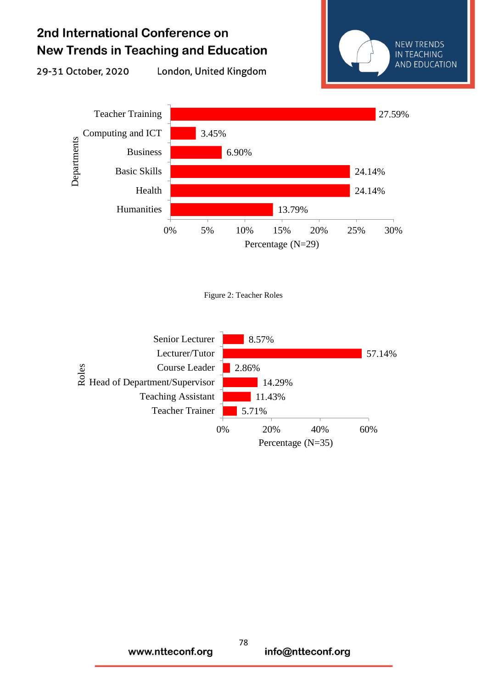29-31 October, 2020

London, United Kingdom





Figure 2: Teacher Roles

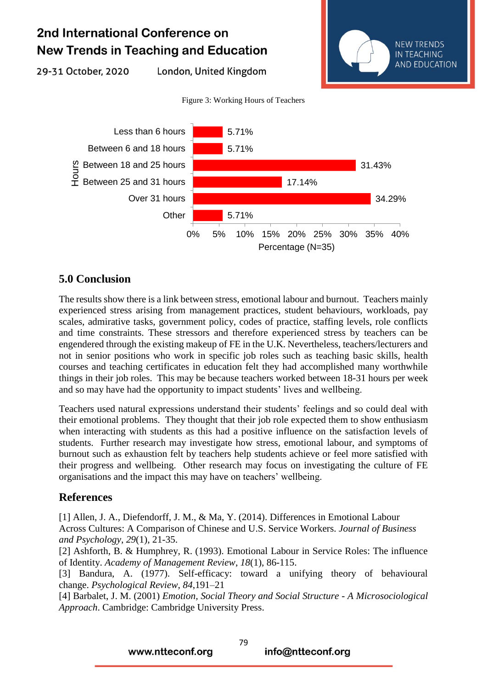29-31 October, 2020

London, United Kingdom



Figure 3: Working Hours of Teachers



#### **5.0 Conclusion**

The results show there is a link between stress, emotional labour and burnout. Teachers mainly experienced stress arising from management practices, student behaviours, workloads, pay scales, admirative tasks, government policy, codes of practice, staffing levels, role conflicts and time constraints. These stressors and therefore experienced stress by teachers can be engendered through the existing makeup of FE in the U.K. Nevertheless, teachers/lecturers and not in senior positions who work in specific job roles such as teaching basic skills, health courses and teaching certificates in education felt they had accomplished many worthwhile things in their job roles. This may be because teachers worked between 18-31 hours per week and so may have had the opportunity to impact students' lives and wellbeing.

Teachers used natural expressions understand their students' feelings and so could deal with their emotional problems. They thought that their job role expected them to show enthusiasm when interacting with students as this had a positive influence on the satisfaction levels of students. Further research may investigate how stress, emotional labour, and symptoms of burnout such as exhaustion felt by teachers help students achieve or feel more satisfied with their progress and wellbeing. Other research may focus on investigating the culture of FE organisations and the impact this may have on teachers' wellbeing.

#### **References**

[1] Allen, J. A., Diefendorff, J. M., & Ma, Y. (2014). Differences in Emotional Labour Across Cultures: A Comparison of Chinese and U.S. Service Workers. *Journal of Business and Psychology*, *29*(1), 21-35.

[2] Ashforth, B. & Humphrey, R. (1993). Emotional Labour in Service Roles: The influence of Identity. *Academy of Management Review*, *18*(1), 86-115.

[3] Bandura, A. (1977). Self-efficacy: toward a unifying theory of behavioural change. *Psychological Review*, *84*,191–21

[4] Barbalet, J. M. (2001) *Emotion, Social Theory and Social Structure - A Microsociological Approach*. Cambridge: Cambridge University Press.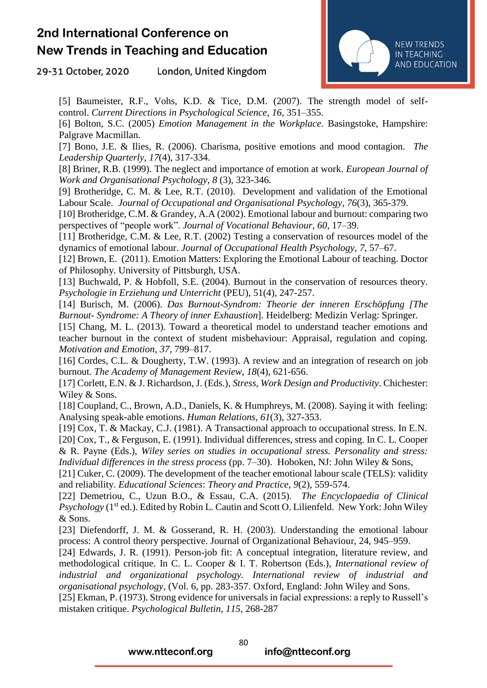29-31 October, 2020 London, United Kingdom



[5] Baumeister, R.F., Vohs, K.D. & Tice, D.M. (2007). The strength model of selfcontrol. *Current Directions in Psychological Science*, *16*, 351–355.

[6] Bolton, S.C. (2005) *Emotion Management in the Workplace*. Basingstoke, Hampshire: Palgrave Macmillan.

[7] Bono, J.E. & Ilies, R. (2006). Charisma, positive emotions and mood contagion. *The Leadership Quarterly*, *17*(4), 317-334.

[8] Briner, R.B. (1999). The neglect and importance of emotion at work. *European Journal of Work and Organisational Psychology*, *8* (3), 323-346.

[9] Brotheridge, C. M. & Lee, R.T. (2010). Development and validation of the Emotional Labour Scale. *Journal of Occupational and Organisational Psychology*, *76*(3), 365-379.

[10] Brotheridge, C.M. & Grandey, A.A (2002). Emotional labour and burnout: comparing two perspectives of "people work". *Journal of Vocational Behaviour*, *60*, 17–39.

[11] Brotheridge, C.M. & Lee, R.T. (2002) Testing a conservation of resources model of the dynamics of emotional labour. *Journal of Occupational Health Psychology*, *7*, 57–67.

[12] Brown, E. (2011). Emotion Matters: Exploring the Emotional Labour of teaching. Doctor of Philosophy. University of Pittsburgh, USA.

[13] Buchwald, P. & Hobfoll, S.E. (2004). Burnout in the conservation of resources theory. *Psychologie in Erziehung und Unterricht* (PEU), 51(4), 247-257.

[14] Burisch, M. (2006). *Das Burnout-Syndrom: Theorie der inneren Erschöpfung [The Burnout- Syndrome: A Theory of inner Exhaustion*]. Heidelberg: Medizin Verlag: Springer.

[15] Chang, M. L. (2013). Toward a theoretical model to understand teacher emotions and teacher burnout in the context of student misbehaviour: Appraisal, regulation and coping. *Motivation and Emotion*, *37*, 799–817.

[16] Cordes, C.L. & Dougherty, T.W. (1993). A review and an integration of research on job burnout. *The Academy of Management Review*, *18*(4), 621-656.

[17] Corlett, E.N. & J. Richardson, J. (Eds.), *Stress, Work Design and Productivity*. Chichester: Wiley & Sons.

[18] Coupland, C., Brown, A.D., Daniels, K. & Humphreys, M. (2008). Saying it with feeling: Analysing speak-able emotions. *Human Relations*, *61*(3), 327-353.

[19] Cox, T. & Mackay, C.J. (1981). A Transactional approach to occupational stress. In E.N. [20] Cox, T., & Ferguson, E. (1991). Individual differences, stress and coping. In C. L. Cooper & R. Payne (Eds.), *Wiley series on studies in occupational stress. Personality and stress: Individual differences in the stress process* (pp. 7–30). Hoboken, NJ: John Wiley & Sons,

[21] Cuker, C. (2009). The development of the teacher emotional labour scale (TELS): validity and reliability. *Educational Sciences*: *Theory and Practice*, *9*(2), 559-574.

[22] Demetriou, C., Uzun B.O., & Essau, C.A. (2015). *The Encyclopaedia of Clinical Psychology* (1<sup>st</sup> ed.). Edited by Robin L. Cautin and Scott O. Lilienfeld. New York: John Wiley & Sons.

[23] Diefendorff, J. M. & Gosserand, R. H. (2003). Understanding the emotional labour process: A control theory perspective. Journal of Organizational Behaviour, 24, 945–959.

[24] Edwards, J. R. (1991). Person-job fit: A conceptual integration, literature review, and methodological critique. In C. L. Cooper & I. T. Robertson (Eds.), *International review of industrial and organizational psychology. International review of industrial and organisational psychology,* (Vol. 6, pp. 283-357. Oxford, England: John Wiley and Sons.

[25] Ekman, P. (1973). Strong evidence for universals in facial expressions: a reply to Russell's mistaken critique. *Psychological Bulletin*, *115*, 268-287

www.ntteconf.org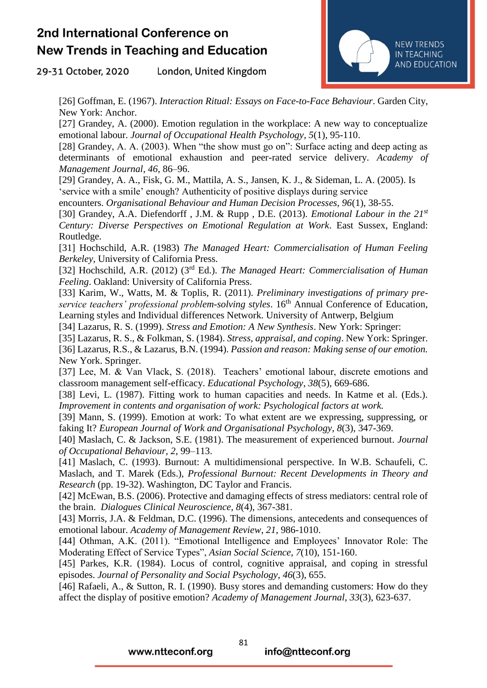29-31 October, 2020 London, United Kingdom



[26] Goffman, E. (1967). *Interaction Ritual: Essays on Face-to-Face Behaviour*. Garden City, New York: Anchor.

[27] Grandey, A. (2000). Emotion regulation in the workplace: A new way to conceptualize emotional labour. *Journal of Occupational Health Psychology*, *5*(1), 95-110.

[28] Grandey, A. A. (2003). When "the show must go on": Surface acting and deep acting as determinants of emotional exhaustion and peer-rated service delivery. *Academy of Management Journal*, *46*, 86–96.

[29] Grandey, A. A., Fisk, G. M., Mattila, A. S., Jansen, K. J., & Sideman, L. A. (2005). Is 'service with a smile' enough? Authenticity of positive displays during service

encounters. *Organisational Behaviour and Human Decision Processes, 96*(1), 38-55.

[30] Grandey, A.A. Diefendorff , J.M. & Rupp , D.E. (2013). *Emotional Labour in the 21st Century: Diverse Perspectives on Emotional Regulation at Work*. East Sussex, England: Routledge.

[31] Hochschild, A.R. (1983) *The Managed Heart: Commercialisation of Human Feeling Berkeley,* University of California Press.

[32] Hochschild, A.R. (2012) (3rd Ed.). *The Managed Heart: Commercialisation of Human Feeling*. Oakland: University of California Press.

[33] Karim, W., Watts, M. & Toplis, R. (2011). *Preliminary investigations of primary pre*service teachers' professional problem-solving styles. 16<sup>th</sup> Annual Conference of Education, Learning styles and Individual differences Network. University of Antwerp, Belgium

[34] Lazarus, R. S. (1999). *Stress and Emotion: A New Synthesis*. New York: Springer:

[35] Lazarus, R. S., & Folkman, S. (1984). *Stress, appraisal, and coping*. New York: Springer.

[36] Lazarus, R.S., & Lazarus, B.N. (1994). *Passion and reason: Making sense of our emotion.* New York. Springer.

[37] Lee, M. & Van Vlack, S. (2018). Teachers' emotional labour, discrete emotions and classroom management self-efficacy. *Educational Psychology*, *38*(5), 669-686.

[38] Levi, L. (1987). Fitting work to human capacities and needs. In Katme et al. (Eds.). *Improvement in contents and organisation of work: Psychological factors at work.*

[39] Mann, S. (1999). Emotion at work: To what extent are we expressing, suppressing, or faking It? *European Journal of Work and Organisational Psychology*, *8*(3), 347-369.

[40] Maslach, C. & Jackson, S.E. (1981). The measurement of experienced burnout. *Journal of Occupational Behaviour*, *2*, 99–113.

[41] Maslach, C. (1993). Burnout: A multidimensional perspective. In W.B. Schaufeli, C. Maslach, and T. Marek (Eds.), *Professional Burnout: Recent Developments in Theory and Research* (pp. 19-32). Washington, DC Taylor and Francis.

[42] McEwan, B.S. (2006). Protective and damaging effects of stress mediators: central role of the brain. *Dialogues Clinical Neuroscience*, *8*(4), 367-381.

[43] Morris, J.A. & Feldman, D.C. (1996). The dimensions, antecedents and consequences of emotional labour. *Academy of Management Review*, *21*, 986-1010.

[44] Othman, A.K. (2011). "Emotional Intelligence and Employees' Innovator Role: The Moderating Effect of Service Types", *Asian Social Science*, *7*(10), 151-160.

[45] Parkes, K.R. (1984). Locus of control, cognitive appraisal, and coping in stressful episodes. *Journal of Personality and Social Psychology*, *46*(3), 655.

[46] Rafaeli, A., & Sutton, R. I. (1990). Busy stores and demanding customers: How do they affect the display of positive emotion? *Academy of Management Journal*, *33*(3), 623-637.

www.ntteconf.org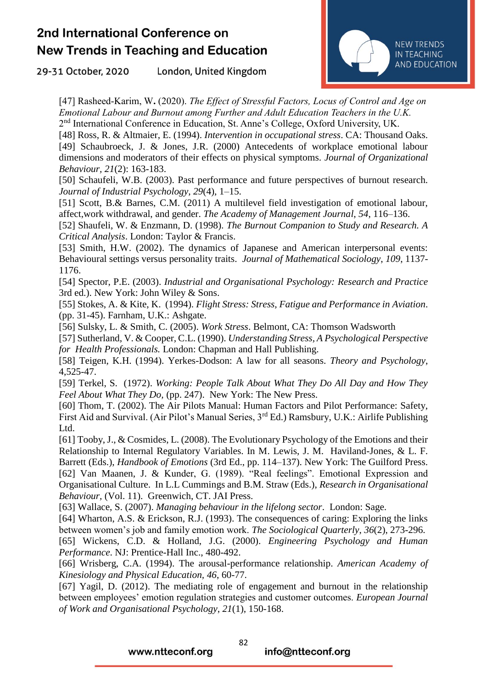29-31 October, 2020 London, United Kingdom



[47] Rasheed-Karim, W**.** (2020). *The Effect of Stressful Factors, Locus of Control and Age on Emotional Labour and Burnout among Further and Adult Education Teachers in the U.K.* 2<sup>nd</sup> International Conference in Education, St. Anne's College, Oxford University, UK.

[48] Ross, R. & Altmaier, E. (1994). *Intervention in occupational stress*. CA: Thousand Oaks. [49] Schaubroeck, J. & Jones, J.R. (2000) Antecedents of workplace emotional labour dimensions and moderators of their effects on physical symptoms. *Journal of Organizational Behaviour, 21*(2): 163-183.

[50] Schaufeli, W.B. (2003). Past performance and future perspectives of burnout research. *Journal of Industrial Psychology*, *29*(4), 1–15.

[51] Scott, B.& Barnes, C.M. (2011) A multilevel field investigation of emotional labour, affect,work withdrawal, and gender. *The Academy of Management Journal*, *54*, 116–136.

[52] Shaufeli, W. & Enzmann, D. (1998). *The Burnout Companion to Study and Research. A Critical Analysis*. London: Taylor & Francis.

[53] Smith, H.W. (2002). The dynamics of Japanese and American interpersonal events: Behavioural settings versus personality traits. *Journal of Mathematical Sociology*, *109*, 1137- 1176.

[54] Spector, P.E. (2003). *Industrial and Organisational Psychology: Research and Practice* 3rd ed.). New York: John Wiley & Sons.

[55] Stokes, A. & Kite, K. (1994). *Flight Stress: Stress, Fatigue and Performance in Aviation*. (pp. 31-45). Farnham, U.K.: Ashgate.

[56] Sulsky, L. & Smith, C. (2005). *Work Stress*. Belmont, CA: Thomson Wadsworth

[57] Sutherland, V. & Cooper, C.L. (1990). *Understanding Stress, A Psychological Perspective for Health Professionals.* London: Chapman and Hall Publishing.

[58] Teigen, K.H. (1994). Yerkes-Dodson: A law for all seasons. *Theory and Psychology*, 4,525-47.

[59] Terkel, S. (1972). *Working: People Talk About What They Do All Day and How They Feel About What They Do,* (pp. 247). New York: The New Press.

[60] Thom, T. (2002). The Air Pilots Manual: Human Factors and Pilot Performance: Safety, First Aid and Survival. (Air Pilot's Manual Series, 3rd Ed.) Ramsbury, U.K.: Airlife Publishing Ltd.

[61] Tooby, J., & Cosmides, L. (2008). The Evolutionary Psychology of the Emotions and their Relationship to Internal Regulatory Variables. In M. Lewis, J. M. Haviland-Jones, & L. F. Barrett (Eds.), *Handbook of Emotions* (3rd Ed., pp. 114–137). New York: The Guilford Press. [62] Van Maanen, J. & Kunder, G. (1989). "Real feelings". Emotional Expression and Organisational Culture. In L.L Cummings and B.M. Straw (Eds.), *Research in Organisational Behaviour,* (Vol. 11). Greenwich, CT. JAI Press.

[63] Wallace, S. (2007). *Managing behaviour in the lifelong sector*. London: Sage.

[64] Wharton, A.S. & Erickson, R.J. (1993). The consequences of caring: Exploring the links between women's job and family emotion work. *The Sociological Quarterly*, *36*(2), 273-296.

[65] Wickens, C.D. & Holland, J.G. (2000). *Engineering Psychology and Human Performance*. NJ: Prentice-Hall Inc., 480-492.

[66] Wrisberg, C.A. (1994). The arousal-performance relationship. *American Academy of Kinesiology and Physical Education, 46*, 60-77.

[67] Yagil, D. (2012). The mediating role of engagement and burnout in the relationship between employees' emotion regulation strategies and customer outcomes. *European Journal of Work and Organisational Psychology*, *21*(1), 150-168.

www.ntteconf.org